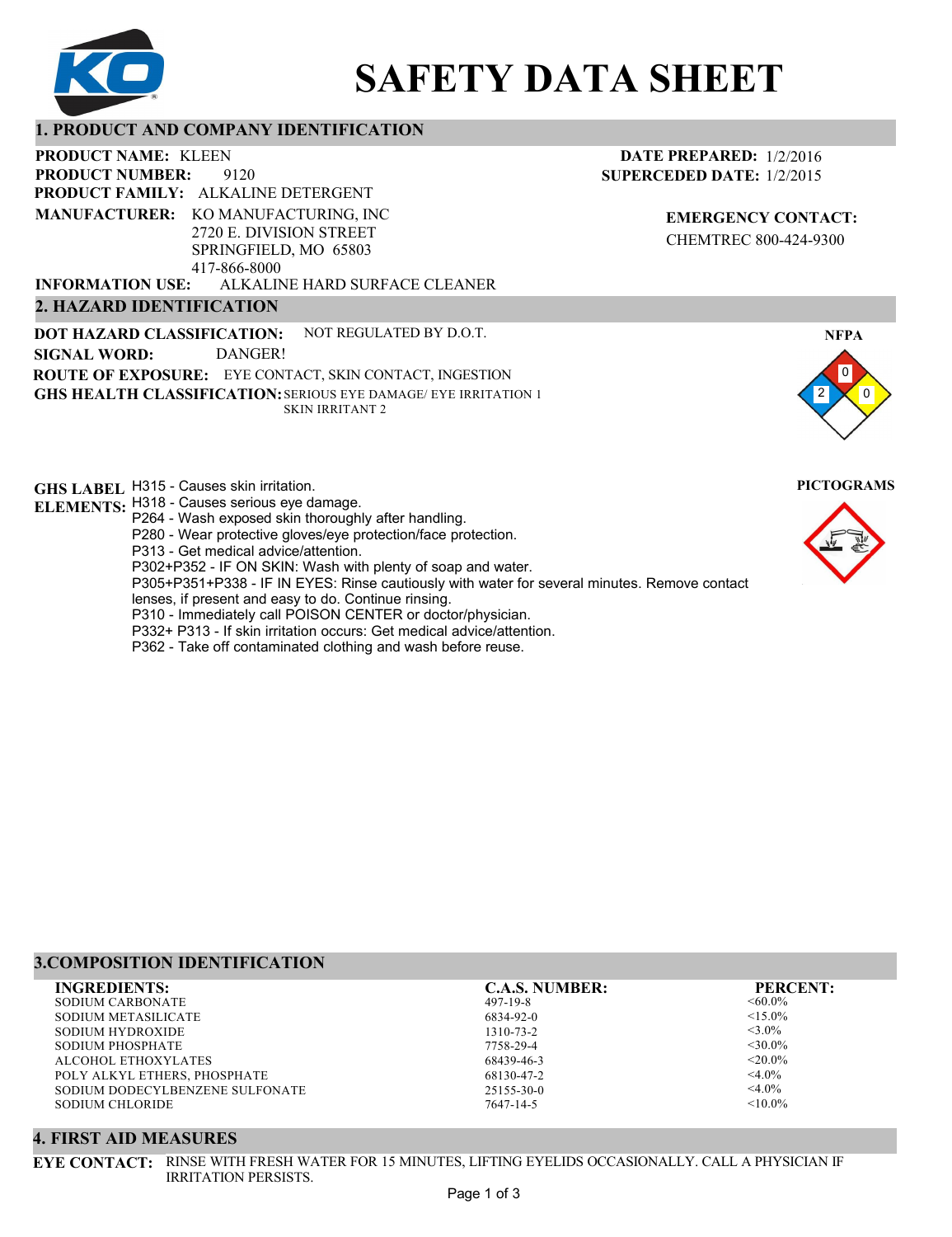

# **SAFETY DATA SHEET**

# **1. PRODUCT AND COMPANY IDENTIFICATION**

9120 **PRODUCT NAME: KLEEN PRODUCT FAMILY: ALKALINE DETERGENT** ALKALINE HARD SURFACE CLEANER **PRODUCT NUMBER: 2. HAZARD IDENTIFICATION MANUFACTURER:** KO MANUFACTURING, INC 2720 E. DIVISION STREET SPRINGFIELD, MO 65803 417-866-8000 **INFORMATION USE:**

**DOT HAZARD CLASSIFICATION: GHS HEALTH CLASSIFICATION:** SERIOUS EYE DAMAGE/ EYE IRRITATION 1 **ROUTE OF EXPOSURE:** EYE CONTACT, SKIN CONTACT, INGESTION NOT REGULATED BY D.O.T. SKIN IRRITANT 2 **SIGNAL WORD:** DANGER!

**GHS LABEL**  H315 - Causes skin irritation. **PICTOGRAMS**

- **ELEMENTS:** H318 Causes serious eye damage.
	- P264 Wash exposed skin thoroughly after handling.
		- P280 Wear protective gloves/eye protection/face protection.
		- P313 Get medical advice/attention.
	- P302+P352 IF ON SKIN: Wash with plenty of soap and water.

P305+P351+P338 - IF IN EYES: Rinse cautiously with water for several minutes. Remove contact

- lenses, if present and easy to do. Continue rinsing.
- P310 Immediately call POISON CENTER or doctor/physician.
- P332+ P313 If skin irritation occurs: Get medical advice/attention.
- P362 Take off contaminated clothing and wash before reuse.

# **3.COMPOSITION IDENTIFICATION**

| <b>INGREDIENTS:</b>             | <b>C.A.S. NUMBER:</b> | <b>PERCENT:</b> |
|---------------------------------|-----------------------|-----------------|
| <b>SODIUM CARBONATE</b>         | $497 - 19 - 8$        | $<60.0\%$       |
| SODIUM METASILICATE             | 6834-92-0             | $<15.0\%$       |
| <b>SODIUM HYDROXIDE</b>         | 1310-73-2             | $<$ 3.0%        |
| SODIUM PHOSPHATE                | 7758-29-4             | $<30.0\%$       |
| ALCOHOL ETHOXYLATES             | 68439-46-3            | $< 20.0\%$      |
| POLY ALKYL ETHERS, PHOSPHATE    | 68130-47-2            | $<$ 4.0%        |
| SODIUM DODECYLBENZENE SULFONATE | $25155 - 30 - 0$      | $<$ 4.0%        |
| <b>SODIUM CHLORIDE</b>          | 7647-14-5             | $< 10.0\%$      |
|                                 |                       |                 |

#### 497-19-8 6834-92-0 1310-73-2 7758-29-4 68439-46-3 68130-47-2 25155-30-0 7647-14-5

## **4. FIRST AID MEASURES**

**EYE CONTACT:** RINSE WITH FRESH WATER FOR 15 MINUTES, LIFTING EYELIDS OCCASIONALLY. CALL A PHYSICIAN IF IRRITATION PERSISTS.

# **DATE PREPARED:** 1/2/2016 **SUPERCEDED DATE:** 1/2/2015

**EMERGENCY CONTACT:** CHEMTREC 800-424-9300



0 0

**NFPA**

2

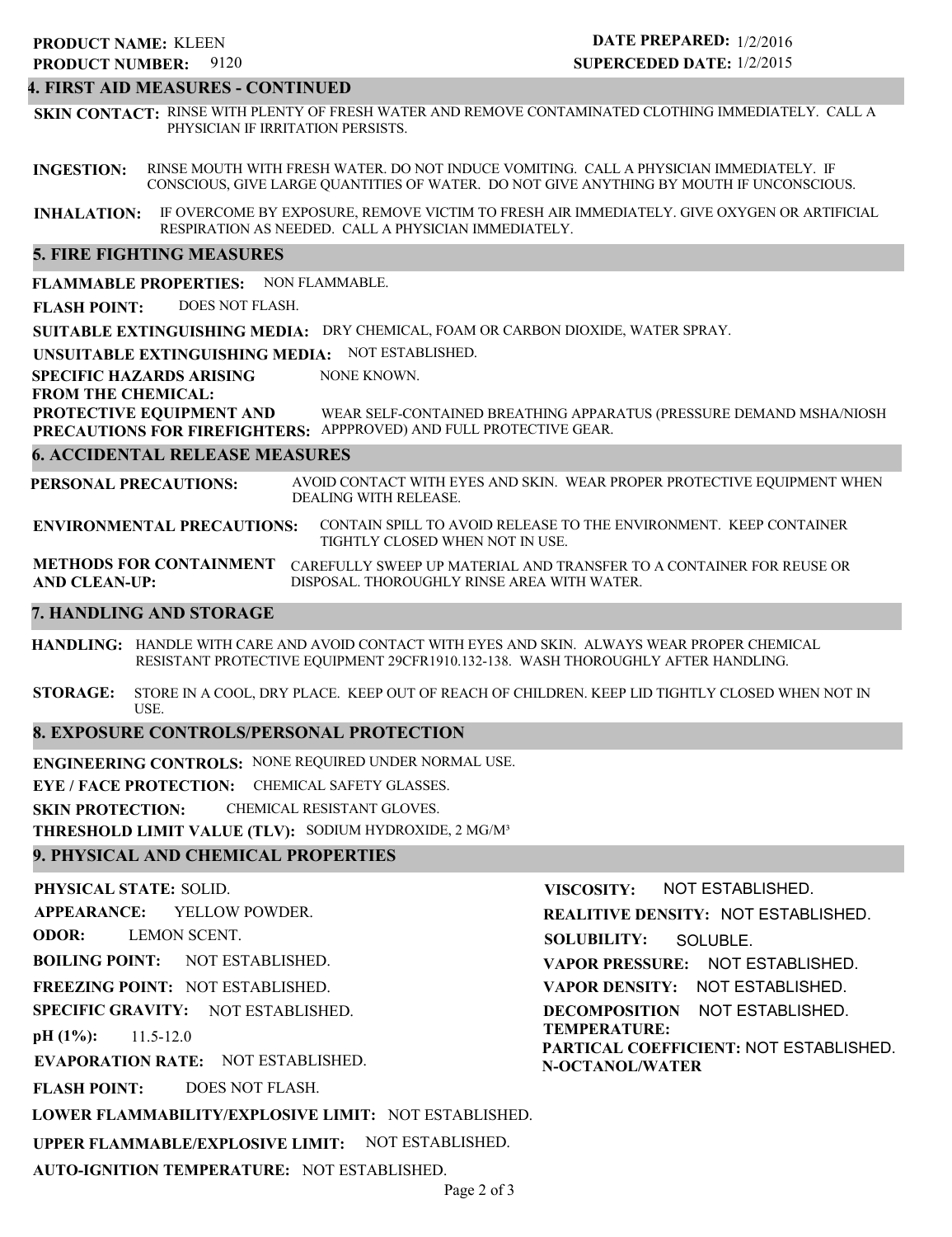# 9120 **PRODUCT NUMBER: PRODUCT NAME: KLEEN**

# **DATE PREPARED:** 1/2/2016 **SUPERCEDED DATE:** 1/2/2015

# **4. FIRST AID MEASURES - CONTINUED**

**SKIN CONTACT:** RINSE WITH PLENTY OF FRESH WATER AND REMOVE CONTAMINATED CLOTHING IMMEDIATELY. CALL A PHYSICIAN IF IRRITATION PERSISTS.

**INGESTION:** RINSE MOUTH WITH FRESH WATER. DO NOT INDUCE VOMITING. CALL A PHYSICIAN IMMEDIATELY. IF CONSCIOUS, GIVE LARGE QUANTITIES OF WATER. DO NOT GIVE ANYTHING BY MOUTH IF UNCONSCIOUS.

**INHALATION:** IF OVERCOME BY EXPOSURE, REMOVE VICTIM TO FRESH AIR IMMEDIATELY. GIVE OXYGEN OR ARTIFICIAL RESPIRATION AS NEEDED. CALL A PHYSICIAN IMMEDIATELY.

#### **5. FIRE FIGHTING MEASURES**

**FLAMMABLE PROPERTIES:** NON FLAMMABLE.

**FLASH POINT:** DOES NOT FLASH.

**SUITABLE EXTINGUISHING MEDIA:** DRY CHEMICAL, FOAM OR CARBON DIOXIDE, WATER SPRAY.

**UNSUITABLE EXTINGUISHING MEDIA:** NOT ESTABLISHED.

**SPECIFIC HAZARDS ARISING** NONE KNOWN.

**FROM THE CHEMICAL:**

**PROTECTIVE EQUIPMENT AND PRECAUTIONS FOR FIREFIGHTERS:** APPPROVED) AND FULL PROTECTIVE GEAR. WEAR SELF-CONTAINED BREATHING APPARATUS (PRESSURE DEMAND MSHA/NIOSH

#### **6. ACCIDENTAL RELEASE MEASURES**

**PERSONAL PRECAUTIONS:** AVOID CONTACT WITH EYES AND SKIN. WEAR PROPER PROTECTIVE EQUIPMENT WHEN DEALING WITH RELEASE.

**ENVIRONMENTAL PRECAUTIONS:** CONTAIN SPILL TO AVOID RELEASE TO THE ENVIRONMENT. KEEP CONTAINER TIGHTLY CLOSED WHEN NOT IN USE.

**METHODS FOR CONTAINMENT** CAREFULLY SWEEP UP MATERIAL AND TRANSFER TO A CONTAINER FOR REUSE OR **AND CLEAN-UP:** DISPOSAL. THOROUGHLY RINSE AREA WITH WATER.

#### **7. HANDLING AND STORAGE**

**HANDLING:** HANDLE WITH CARE AND AVOID CONTACT WITH EYES AND SKIN. ALWAYS WEAR PROPER CHEMICAL RESISTANT PROTECTIVE EQUIPMENT 29CFR1910.132-138. WASH THOROUGHLY AFTER HANDLING.

**STORAGE:** STORE IN A COOL, DRY PLACE. KEEP OUT OF REACH OF CHILDREN. KEEP LID TIGHTLY CLOSED WHEN NOT IN USE.

#### **8. EXPOSURE CONTROLS/PERSONAL PROTECTION**

**ENGINEERING CONTROLS:** NONE REQUIRED UNDER NORMAL USE.

**EYE / FACE PROTECTION:** CHEMICAL SAFETY GLASSES.

**SKIN PROTECTION:** CHEMICAL RESISTANT GLOVES.

**THRESHOLD LIMIT VALUE (TLV):** SODIUM HYDROXIDE, 2 MG/M³

# **9. PHYSICAL AND CHEMICAL PROPERTIES**

**PHYSICAL STATE:** SOLID. **APPEARANCE: ODOR: BOILING POINT: FREEZING POINT:** NOT ESTABLISHED. **SPECIFIC GRAVITY:** NOT ESTABLISHED. **pH (1%): EVAPORATION RATE:** NOT ESTABLISHED. **FLASH POINT: LOWER FLAMMABILITY/EXPLOSIVE LIMIT:** NOT ESTABLISHED. **UPPER FLAMMABLE/EXPLOSIVE LIMIT:** NOT ESTABLISHED. NOT ESTABLISHED. 11.5-12.0 DOES NOT FLASH. YELLOW POWDER. LEMON SCENT. **VISCOSITY: REALITIVE DENSITY:** NOT ESTABLISHED. **SOLUBILITY: VAPOR PRESSURE:** NOT ESTABLISHED. **VAPOR DENSITY:** NOT ESTABLISHED. **DECOMPOSITION** NOT ESTABLISHED. **TEMPERATURE: PARTICAL COEFFICIENT:** NOT ESTABLISHED. **N-OCTANOL/WATER** NOT ESTABLISHED. SOLUBLE.

**AUTO-IGNITION TEMPERATURE:** NOT ESTABLISHED.